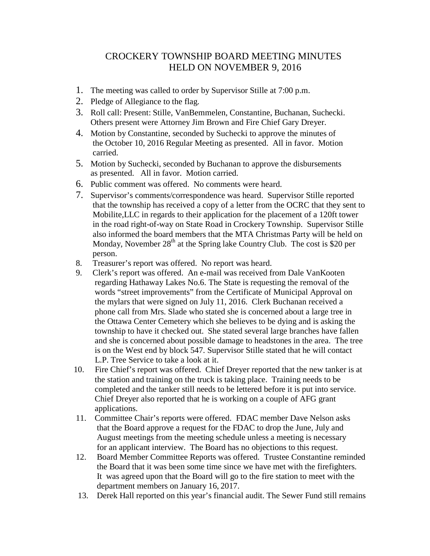## CROCKERY TOWNSHIP BOARD MEETING MINUTES HELD ON NOVEMBER 9, 2016

- 1. The meeting was called to order by Supervisor Stille at 7:00 p.m.
- 2. Pledge of Allegiance to the flag.
- 3. Roll call: Present: Stille, VanBemmelen, Constantine, Buchanan, Suchecki. Others present were Attorney Jim Brown and Fire Chief Gary Dreyer.
- 4. Motion by Constantine, seconded by Suchecki to approve the minutes of the October 10, 2016 Regular Meeting as presented. All in favor. Motion carried.
- 5. Motion by Suchecki, seconded by Buchanan to approve the disbursements as presented. All in favor. Motion carried.
- 6. Public comment was offered. No comments were heard.
- 7. Supervisor's comments/correspondence was heard. Supervisor Stille reported that the township has received a copy of a letter from the OCRC that they sent to Mobilite,LLC in regards to their application for the placement of a 120ft tower in the road right-of-way on State Road in Crockery Township. Supervisor Stille also informed the board members that the MTA Christmas Party will be held on Monday, November  $28<sup>th</sup>$  at the Spring lake Country Club. The cost is \$20 per person.
- 8. Treasurer's report was offered. No report was heard.
- 9. Clerk's report was offered. An e-mail was received from Dale VanKooten regarding Hathaway Lakes No.6. The State is requesting the removal of the words "street improvements" from the Certificate of Municipal Approval on the mylars that were signed on July 11, 2016. Clerk Buchanan received a phone call from Mrs. Slade who stated she is concerned about a large tree in the Ottawa Center Cemetery which she believes to be dying and is asking the township to have it checked out. She stated several large branches have fallen and she is concerned about possible damage to headstones in the area. The tree is on the West end by block 547. Supervisor Stille stated that he will contact L.P. Tree Service to take a look at it.
- 10. Fire Chief's report was offered. Chief Dreyer reported that the new tanker is at the station and training on the truck is taking place. Training needs to be completed and the tanker still needs to be lettered before it is put into service. Chief Dreyer also reported that he is working on a couple of AFG grant applications.
- 11. Committee Chair's reports were offered. FDAC member Dave Nelson asks that the Board approve a request for the FDAC to drop the June, July and August meetings from the meeting schedule unless a meeting is necessary for an applicant interview. The Board has no objections to this request.
- 12. Board Member Committee Reports was offered. Trustee Constantine reminded the Board that it was been some time since we have met with the firefighters. It was agreed upon that the Board will go to the fire station to meet with the department members on January 16, 2017.
- 13. Derek Hall reported on this year's financial audit. The Sewer Fund still remains